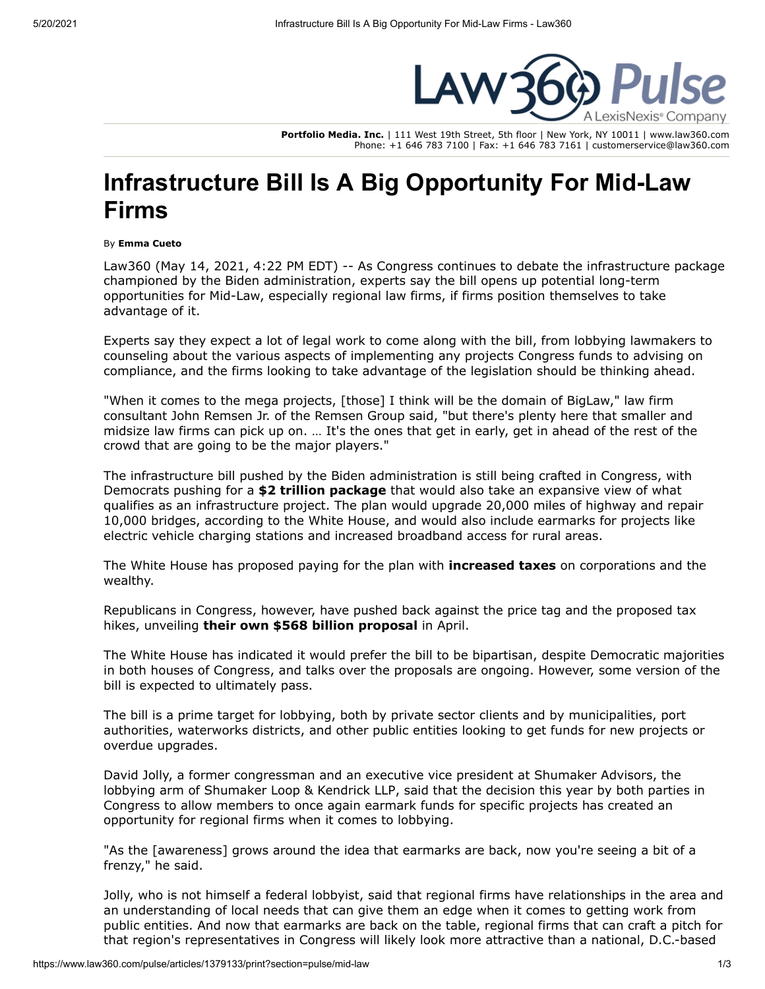

**Portfolio Media. Inc.** | 111 West 19th Street, 5th floor | New York, NY 10011 | www.law360.com Phone: +1 646 783 7100 | Fax: +1 646 783 7161 | customerservice@law360.com

## **Infrastructure Bill Is A Big Opportunity For Mid-Law Firms**

By **Emma Cueto**

Law360 (May 14, 2021, 4:22 PM EDT) -- As Congress continues to debate the infrastructure package championed by the Biden administration, experts say the bill opens up potential long-term opportunities for Mid-Law, especially regional law firms, if firms position themselves to take advantage of it.

Experts say they expect a lot of legal work to come along with the bill, from lobbying lawmakers to counseling about the various aspects of implementing any projects Congress funds to advising on compliance, and the firms looking to take advantage of the legislation should be thinking ahead.

"When it comes to the mega projects, [those] I think will be the domain of BigLaw," law firm consultant John Remsen Jr. of the Remsen Group said, "but there's plenty here that smaller and midsize law firms can pick up on. … It's the ones that get in early, get in ahead of the rest of the crowd that are going to be the major players."

The infrastructure bill pushed by the Biden administration is still being crafted in Congress, with Democrats pushing for a **[\\$2 trillion package](https://www.law360.com/articles/1370829/biden-s-transportation-infrastructure-plan-faces-bumpy-road)** that would also take an expansive view of what qualifies as an infrastructure project. The plan would upgrade 20,000 miles of highway and repair 10,000 bridges, according to the White House, and would also include earmarks for projects like electric vehicle charging stations and increased broadband access for rural areas.

[The White House](https://www.law360.com/agencies/executive-office-of-the-president) has proposed paying for the plan with **[increased taxes](https://www.law360.com/articles/1370705)** on corporations and the wealthy.

Republicans in Congress, however, have pushed back against the price tag and the proposed tax hikes, unveiling **[their own \\$568 billion proposal](https://www.law360.com/articles/1377702/senate-gop-unveils-568b-infrastructure-counterproposal)** in April.

The White House has indicated it would prefer the bill to be bipartisan, despite Democratic majorities in both houses of Congress, and talks over the proposals are ongoing. However, some version of the bill is expected to ultimately pass.

The bill is a prime target for lobbying, both by private sector clients and by municipalities, port authorities, waterworks districts, and other public entities looking to get funds for new projects or overdue upgrades.

David Jolly, a former congressman and an executive vice president at Shumaker Advisors, the lobbying arm of [Shumaker Loop & Kendrick LLP](https://www.law360.com/firms/shumaker-loop), said that the decision this year by both parties in Congress to allow members to once again earmark funds for specific projects has created an opportunity for regional firms when it comes to lobbying.

"As the [awareness] grows around the idea that earmarks are back, now you're seeing a bit of a frenzy," he said.

Jolly, who is not himself a federal lobbyist, said that regional firms have relationships in the area and an understanding of local needs that can give them an edge when it comes to getting work from public entities. And now that earmarks are back on the table, regional firms that can craft a pitch for that region's representatives in Congress will likely look more attractive than a national, D.C.-based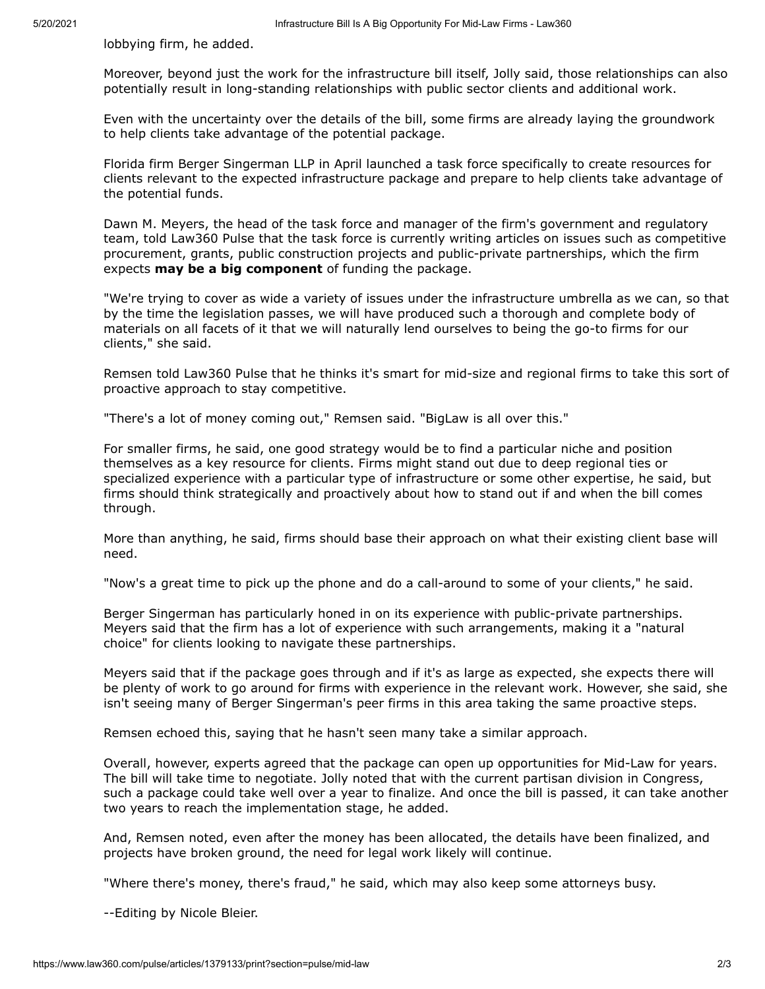lobbying firm, he added.

Moreover, beyond just the work for the infrastructure bill itself, Jolly said, those relationships can also potentially result in long-standing relationships with public sector clients and additional work.

Even with the uncertainty over the details of the bill, some firms are already laying the groundwork to help clients take advantage of the potential package.

Florida firm [Berger Singerman LLP](https://www.law360.com/firms/berger-singerman) in April launched a task force specifically to create resources for clients relevant to the expected infrastructure package and prepare to help clients take advantage of the potential funds.

Dawn M. Meyers, the head of the task force and manager of the firm's government and regulatory team, told Law360 Pulse that the task force is currently writing articles on issues such as competitive procurement, grants, public construction projects and public-private partnerships, which the firm expects **[may be a big component](https://www.law360.com/articles/1382360)** of funding the package.

"We're trying to cover as wide a variety of issues under the infrastructure umbrella as we can, so that by the time the legislation passes, we will have produced such a thorough and complete body of materials on all facets of it that we will naturally lend ourselves to being the go-to firms for our clients," she said.

Remsen told Law360 Pulse that he thinks it's smart for mid-size and regional firms to take this sort of proactive approach to stay competitive.

"There's a lot of money coming out," Remsen said. "BigLaw is all over this."

For smaller firms, he said, one good strategy would be to find a particular niche and position themselves as a key resource for clients. Firms might stand out due to deep regional ties or specialized experience with a particular type of infrastructure or some other expertise, he said, but firms should think strategically and proactively about how to stand out if and when the bill comes through.

More than anything, he said, firms should base their approach on what their existing client base will need.

"Now's a great time to pick up the phone and do a call-around to some of your clients," he said.

Berger Singerman has particularly honed in on its experience with public-private partnerships. Meyers said that the firm has a lot of experience with such arrangements, making it a "natural choice" for clients looking to navigate these partnerships.

Meyers said that if the package goes through and if it's as large as expected, she expects there will be plenty of work to go around for firms with experience in the relevant work. However, she said, she isn't seeing many of Berger Singerman's peer firms in this area taking the same proactive steps.

Remsen echoed this, saying that he hasn't seen many take a similar approach.

Overall, however, experts agreed that the package can open up opportunities for Mid-Law for years. The bill will take time to negotiate. Jolly noted that with the current partisan division in Congress, such a package could take well over a year to finalize. And once the bill is passed, it can take another two years to reach the implementation stage, he added.

And, Remsen noted, even after the money has been allocated, the details have been finalized, and projects have broken ground, the need for legal work likely will continue.

"Where there's money, there's fraud," he said, which may also keep some attorneys busy.

--Editing by Nicole Bleier.